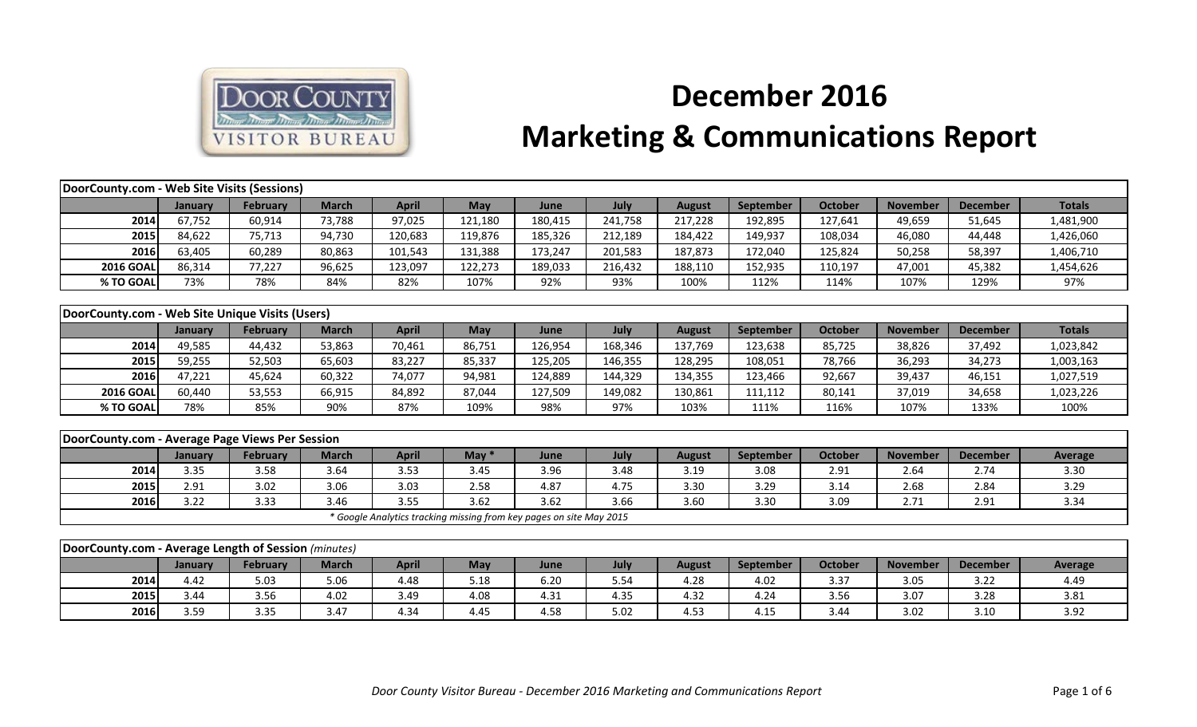

## **December 2016 Marketing & Communications Report**

| DoorCounty.com - Web Site Visits (Sessions)          |         |                 |              |              |            |                                                                     |         |               |           |                |                 |                 |                |
|------------------------------------------------------|---------|-----------------|--------------|--------------|------------|---------------------------------------------------------------------|---------|---------------|-----------|----------------|-----------------|-----------------|----------------|
|                                                      | January | <b>February</b> | <b>March</b> | <b>April</b> | <b>May</b> | June                                                                | July    | <b>August</b> | September | <b>October</b> | <b>November</b> | <b>December</b> | <b>Totals</b>  |
| 2014                                                 | 67,752  | 60,914          | 73,788       | 97,025       | 121,180    | 180,415                                                             | 241,758 | 217,228       | 192,895   | 127,641        | 49,659          | 51,645          | 1,481,900      |
| 2015                                                 | 84,622  | 75,713          | 94,730       | 120,683      | 119,876    | 185,326                                                             | 212,189 | 184,422       | 149,937   | 108,034        | 46,080          | 44,448          | 1,426,060      |
| 2016                                                 | 63,405  | 60,289          | 80,863       | 101,543      | 131,388    | 173,247                                                             | 201,583 | 187,873       | 172,040   | 125,824        | 50,258          | 58,397          | 1,406,710      |
| <b>2016 GOAL</b>                                     | 86,314  | 77,227          | 96,625       | 123,097      | 122,273    | 189,033                                                             | 216,432 | 188,110       | 152,935   | 110,197        | 47,001          | 45,382          | 1,454,626      |
| % TO GOAL                                            | 73%     | 78%             | 84%          | 82%          | 107%       | 92%                                                                 | 93%     | 100%          | 112%      | 114%           | 107%            | 129%            | 97%            |
|                                                      |         |                 |              |              |            |                                                                     |         |               |           |                |                 |                 |                |
| DoorCounty.com - Web Site Unique Visits (Users)      |         |                 |              |              |            |                                                                     |         |               |           |                |                 |                 |                |
|                                                      | January | <b>February</b> | <b>March</b> | <b>April</b> | May        | June                                                                | July    | <b>August</b> | September | <b>October</b> | <b>November</b> | <b>December</b> | <b>Totals</b>  |
| 2014                                                 | 49,585  | 44,432          | 53,863       | 70,461       | 86,751     | 126,954                                                             | 168,346 | 137,769       | 123,638   | 85,725         | 38,826          | 37,492          | 1,023,842      |
| 2015                                                 | 59,255  | 52,503          | 65,603       | 83,227       | 85,337     | 125,205                                                             | 146,355 | 128,295       | 108,051   | 78,766         | 36,293          | 34,273          | 1,003,163      |
| 2016                                                 | 47,221  | 45,624          | 60,322       | 74,077       | 94,981     | 124,889                                                             | 144,329 | 134,355       | 123,466   | 92,667         | 39,437          | 46,151          | 1,027,519      |
| <b>2016 GOAL</b>                                     | 60,440  | 53,553          | 66,915       | 84,892       | 87,044     | 127,509                                                             | 149,082 | 130,861       | 111,112   | 80,141         | 37,019          | 34,658          | 1,023,226      |
| % TO GOAL                                            | 78%     | 85%             | 90%          | 87%          | 109%       | 98%                                                                 | 97%     | 103%          | 111%      | 116%           | 107%            | 133%            | 100%           |
|                                                      |         |                 |              |              |            |                                                                     |         |               |           |                |                 |                 |                |
| DoorCounty.com - Average Page Views Per Session      |         |                 |              |              |            |                                                                     |         |               |           |                |                 |                 |                |
|                                                      | January | February        | <b>March</b> | <b>April</b> | May $*$    | June                                                                | July    | <b>August</b> | September | <b>October</b> | <b>November</b> | <b>December</b> | <b>Average</b> |
| 2014                                                 | 3.35    | 3.58            | 3.64         | 3.53         | 3.45       | 3.96                                                                | 3.48    | 3.19          | 3.08      | 2.91           | 2.64            | 2.74            | 3.30           |
| 2015                                                 | 2.91    | 3.02            | 3.06         | 3.03         | 2.58       | 4.87                                                                | 4.75    | 3.30          | 3.29      | 3.14           | 2.68            | 2.84            | 3.29           |
| 2016                                                 | 3.22    | 3.33            | 3.46         | 3.55         | 3.62       | 3.62                                                                | 3.66    | 3.60          | 3.30      | 3.09           | 2.71            | 2.91            | 3.34           |
|                                                      |         |                 |              |              |            | * Google Analytics tracking missing from key pages on site May 2015 |         |               |           |                |                 |                 |                |
|                                                      |         |                 |              |              |            |                                                                     |         |               |           |                |                 |                 |                |
| DoorCounty.com - Average Length of Session (minutes) |         |                 |              |              |            |                                                                     |         |               |           |                |                 |                 |                |
|                                                      | January | February        | <b>March</b> | <b>April</b> | May        | June                                                                | July    | <b>August</b> | September | <b>October</b> | <b>November</b> | <b>December</b> | Average        |
| 2014                                                 | 4.42    | 5.03            | 5.06         | 4.48         | 5.18       | 6.20                                                                | 5.54    | 4.28          | 4.02      | 3.37           | 3.05            | 3.22            | 4.49           |
| 2015                                                 | 3.44    | 3.56            | 4.02         | 3.49         | 4.08       | 4.31                                                                | 4.35    | 4.32          | 4.24      | 3.56           | 3.07            | 3.28            | 3.81           |
| 2016                                                 | 3.59    | 3.35            | 3.47         | 4.34         | 4.45       | 4.58                                                                | 5.02    | 4.53          | 4.15      | 3.44           | 3.02            | 3.10            | 3.92           |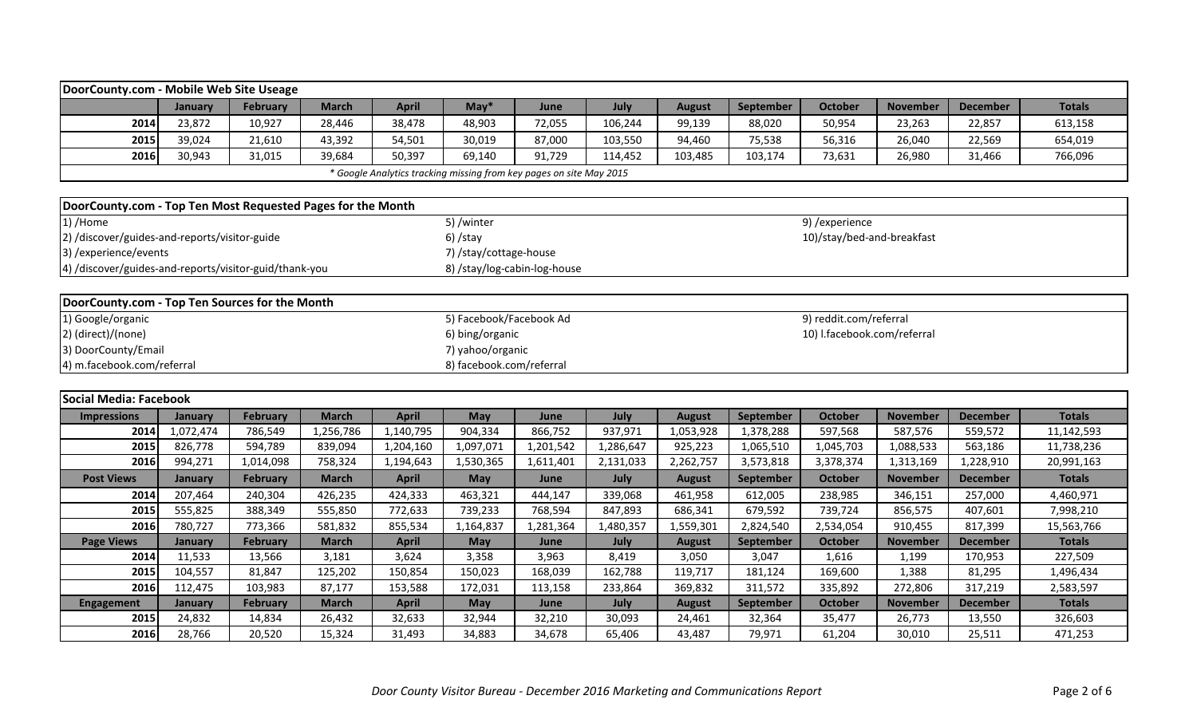|                                                             | DoorCounty.com - Mobile Web Site Useage        |                 |              |                                                                     |                              |           |           |               |           |                             |                 |                 |               |
|-------------------------------------------------------------|------------------------------------------------|-----------------|--------------|---------------------------------------------------------------------|------------------------------|-----------|-----------|---------------|-----------|-----------------------------|-----------------|-----------------|---------------|
|                                                             | January                                        | February        | <b>March</b> | <b>April</b>                                                        | $May*$                       | June      | July      | <b>August</b> | September | <b>October</b>              | <b>November</b> | <b>December</b> | <b>Totals</b> |
| 2014                                                        | 23,872                                         | 10,927          | 28,446       | 38,478                                                              | 48,903                       | 72,055    | 106,244   | 99,139        | 88,020    | 50,954                      | 23,263          | 22,857          | 613,158       |
| 2015                                                        | 39,024                                         | 21,610          | 43,392       | 54,501                                                              | 30,019                       | 87,000    | 103,550   | 94,460        | 75,538    | 56,316                      | 26,040          | 22,569          | 654,019       |
| 2016                                                        | 30,943                                         | 31,015          | 39,684       | 50,397                                                              | 69,140                       | 91,729    | 114,452   | 103,485       | 103,174   | 73,631                      | 26,980          | 31,466          | 766,096       |
|                                                             |                                                |                 |              | * Google Analytics tracking missing from key pages on site May 2015 |                              |           |           |               |           |                             |                 |                 |               |
|                                                             |                                                |                 |              |                                                                     |                              |           |           |               |           |                             |                 |                 |               |
| DoorCounty.com - Top Ten Most Requested Pages for the Month |                                                |                 |              |                                                                     |                              |           |           |               |           |                             |                 |                 |               |
| 1) /Home                                                    |                                                |                 |              |                                                                     | 5) /winter                   |           |           |               |           | 9) /experience              |                 |                 |               |
| 2) /discover/guides-and-reports/visitor-guide               |                                                |                 |              |                                                                     | $6)$ /stay                   |           |           |               |           | 10)/stay/bed-and-breakfast  |                 |                 |               |
| 3) / experience/ events                                     |                                                |                 |              |                                                                     | 7) /stay/cottage-house       |           |           |               |           |                             |                 |                 |               |
| 4) /discover/guides-and-reports/visitor-guid/thank-you      |                                                |                 |              |                                                                     | 8) /stay/log-cabin-log-house |           |           |               |           |                             |                 |                 |               |
|                                                             |                                                |                 |              |                                                                     |                              |           |           |               |           |                             |                 |                 |               |
|                                                             | DoorCounty.com - Top Ten Sources for the Month |                 |              |                                                                     |                              |           |           |               |           |                             |                 |                 |               |
| 1) Google/organic                                           |                                                |                 |              |                                                                     | 5) Facebook/Facebook Ad      |           |           |               |           | 9) reddit.com/referral      |                 |                 |               |
| 2) (direct)/(none)                                          |                                                |                 |              |                                                                     | 6) bing/organic              |           |           |               |           | 10) I.facebook.com/referral |                 |                 |               |
| 3) DoorCounty/Email                                         |                                                |                 |              |                                                                     | 7) yahoo/organic             |           |           |               |           |                             |                 |                 |               |
| 4) m.facebook.com/referral                                  |                                                |                 |              |                                                                     | 8) facebook.com/referral     |           |           |               |           |                             |                 |                 |               |
|                                                             |                                                |                 |              |                                                                     |                              |           |           |               |           |                             |                 |                 |               |
| Social Media: Facebook                                      |                                                |                 |              |                                                                     |                              |           |           |               |           |                             |                 |                 |               |
| <b>Impressions</b>                                          | <b>January</b>                                 | February        | <b>March</b> | <b>April</b>                                                        | <b>May</b>                   | June      | July      | <b>August</b> | September | <b>October</b>              | <b>November</b> | <b>December</b> | <b>Totals</b> |
| 2014                                                        | 1,072,474                                      | 786,549         | 1,256,786    | 1,140,795                                                           | 904,334                      | 866,752   | 937,971   | 1,053,928     | 1,378,288 | 597,568                     | 587,576         | 559,572         | 11,142,593    |
| 2015                                                        | 826,778                                        | 594,789         | 839,094      | 1,204,160                                                           | 1,097,071                    | 1,201,542 | 1,286,647 | 925,223       | 1,065,510 | 1,045,703                   | 1,088,533       | 563,186         | 11,738,236    |
| 2016                                                        | 994,271                                        | 1,014,098       | 758,324      | 1,194,643                                                           | 1,530,365                    | 1,611,401 | 2,131,033 | 2,262,757     | 3,573,818 | 3,378,374                   | 1,313,169       | 1,228,910       | 20,991,163    |
| <b>Post Views</b>                                           | January                                        | <b>February</b> | <b>March</b> | <b>April</b>                                                        | <b>May</b>                   | June      | July      | <b>August</b> | September | <b>October</b>              | <b>November</b> | <b>December</b> | <b>Totals</b> |
| 2014                                                        | 207,464                                        | 240,304         | 426,235      | 424,333                                                             | 463,321                      | 444,147   | 339,068   | 461,958       | 612,005   | 238,985                     | 346,151         | 257,000         | 4,460,971     |
| 2015                                                        | 555,825                                        | 388,349         | 555,850      | 772,633                                                             | 739,233                      | 768,594   | 847,893   | 686,341       | 679,592   | 739,724                     | 856,575         | 407,601         | 7,998,210     |
| 2016                                                        | 780,727                                        | 773,366         | 581,832      | 855,534                                                             | 1,164,837                    | 1,281,364 | 1,480,357 | 1,559,301     | 2,824,540 | 2,534,054                   | 910,455         | 817,399         | 15,563,766    |
| <b>Page Views</b>                                           | <b>January</b>                                 | <b>February</b> | <b>March</b> | <b>April</b>                                                        | <b>May</b>                   | June      | July      | <b>August</b> | September | <b>October</b>              | <b>November</b> | <b>December</b> | <b>Totals</b> |
| 2014                                                        | 11,533                                         | 13,566          | 3,181        | 3,624                                                               | 3,358                        | 3,963     | 8,419     | 3,050         | 3,047     | 1,616                       | 1,199           | 170,953         | 227,509       |
| 2015                                                        | 104,557                                        | 81,847          | 125,202      | 150,854                                                             | 150,023                      | 168,039   | 162,788   | 119,717       | 181,124   | 169,600                     | 1,388           | 81,295          | 1,496,434     |
| 2016                                                        | 112,475                                        | 103,983         | 87,177       | 153,588                                                             | 172,031                      | 113,158   | 233,864   | 369,832       | 311,572   | 335,892                     | 272,806         | 317,219         | 2,583,597     |
| <b>Engagement</b>                                           | <b>January</b>                                 | <b>February</b> | <b>March</b> | <b>April</b>                                                        | <b>May</b>                   | June      | July      | <b>August</b> | September | <b>October</b>              | <b>November</b> | <b>December</b> | <b>Totals</b> |
| 2015                                                        | 24,832                                         | 14,834          | 26,432       | 32,633                                                              | 32,944                       | 32,210    | 30,093    | 24,461        | 32,364    | 35,477                      | 26,773          | 13,550          | 326,603       |

**2016** 28,766 | 20,520 | 15,324 | 31,493 | 34,883 | 34,678 | 65,406 | 43,487 | 79,971 | 61,204 | 30,010 | 25,511 | 471,253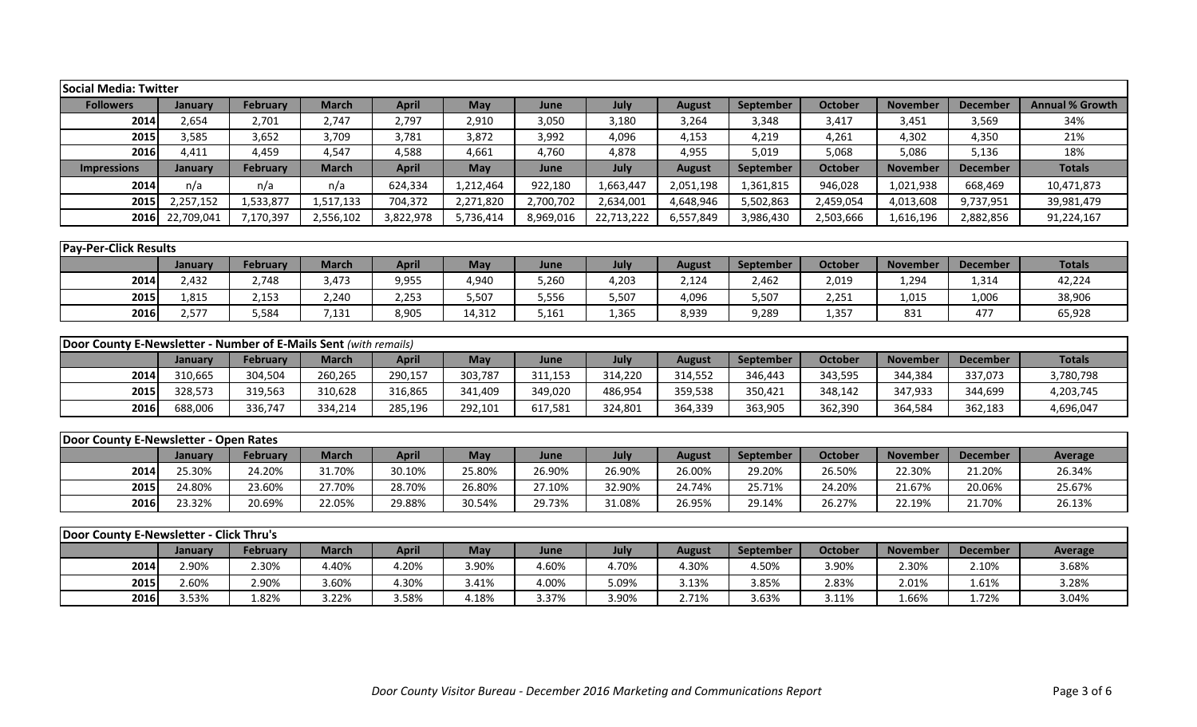|                                                                  | <b>Social Media: Twitter</b>            |                 |              |              |           |           |            |               |                  |                |                 |                 |                        |
|------------------------------------------------------------------|-----------------------------------------|-----------------|--------------|--------------|-----------|-----------|------------|---------------|------------------|----------------|-----------------|-----------------|------------------------|
| <b>Followers</b>                                                 | January                                 | <b>February</b> | <b>March</b> | <b>April</b> | May       | June      | July       | <b>August</b> | September        | <b>October</b> | <b>November</b> | <b>December</b> | <b>Annual % Growth</b> |
| 2014                                                             | 2,654                                   | 2,701           | 2,747        | 2,797        | 2,910     | 3,050     | 3,180      | 3,264         | 3,348            | 3,417          | 3,451           | 3,569           | 34%                    |
| 2015                                                             | 3,585                                   | 3,652           | 3,709        | 3,781        | 3,872     | 3,992     | 4,096      | 4,153         | 4,219            | 4,261          | 4,302           | 4,350           | 21%                    |
| 2016                                                             | 4,411                                   | 4,459           | 4,547        | 4,588        | 4,661     | 4,760     | 4,878      | 4,955         | 5,019            | 5,068          | 5,086           | 5,136           | 18%                    |
| <b>Impressions</b>                                               | January                                 | <b>February</b> | <b>March</b> | <b>April</b> | May       | June      | July       | <b>August</b> | <b>September</b> | <b>October</b> | <b>November</b> | <b>December</b> | <b>Totals</b>          |
| 2014                                                             | n/a                                     | n/a             | n/a          | 624,334      | 1,212,464 | 922,180   | 1,663,447  | 2,051,198     | 1,361,815        | 946,028        | 1,021,938       | 668,469         | 10,471,873             |
| 2015                                                             | 2,257,152                               | 1,533,877       | 1,517,133    | 704,372      | 2,271,820 | 2,700,702 | 2,634,001  | 4,648,946     | 5,502,863        | 2,459,054      | 4,013,608       | 9,737,951       | 39,981,479             |
| <b>2016</b>                                                      | 22,709,041                              | 7,170,397       | 2,556,102    | 3,822,978    | 5,736,414 | 8,969,016 | 22,713,222 | 6,557,849     | 3,986,430        | 2,503,666      | 1,616,196       | 2,882,856       | 91,224,167             |
|                                                                  |                                         |                 |              |              |           |           |            |               |                  |                |                 |                 |                        |
| <b>Pay-Per-Click Results</b>                                     |                                         |                 |              |              |           |           |            |               |                  |                |                 |                 |                        |
|                                                                  | January                                 | <b>February</b> | <b>March</b> | <b>April</b> | May       | June      | July       | <b>August</b> | September        | <b>October</b> | <b>November</b> | <b>December</b> | <b>Totals</b>          |
| 2014                                                             | 2,432                                   | 2,748           | 3,473        | 9,955        | 4,940     | 5,260     | 4,203      | 2,124         | 2,462            | 2,019          | 1,294           | 1,314           | 42,224                 |
| 2015                                                             | 1,815                                   | 2,153           | 2,240        | 2,253        | 5,507     | 5,556     | 5,507      | 4,096         | 5,507            | 2,251          | 1,015           | 1,006           | 38,906                 |
| 2016                                                             | 2,577                                   | 5,584           | 7,131        | 8,905        | 14,312    | 5,161     | 1,365      | 8,939         | 9,289            | 1,357          | 831             | 477             | 65,928                 |
|                                                                  |                                         |                 |              |              |           |           |            |               |                  |                |                 |                 |                        |
| Door County E-Newsletter - Number of E-Mails Sent (with remails) |                                         |                 |              |              |           |           |            |               |                  |                |                 |                 |                        |
|                                                                  | January                                 | <b>February</b> | <b>March</b> | <b>April</b> | May       | June      | July       | <b>August</b> | September        | <b>October</b> | <b>November</b> | <b>December</b> | <b>Totals</b>          |
| 2014                                                             | 310,665                                 | 304,504         | 260,265      | 290,157      | 303,787   | 311,153   | 314,220    | 314,552       | 346,443          | 343,595        | 344,384         | 337,073         | 3,780,798              |
| 2015                                                             | 328,573                                 | 319,563         | 310,628      | 316,865      | 341,409   | 349,020   | 486,954    | 359,538       | 350,421          | 348,142        | 347,933         | 344,699         | 4,203,745              |
| 2016                                                             | 688,006                                 | 336,747         | 334,214      | 285,196      | 292,101   | 617,581   | 324,801    | 364,339       | 363,905          | 362,390        | 364,584         | 362,183         | 4,696,047              |
| Door County E-Newsletter - Open Rates                            |                                         |                 |              |              |           |           |            |               |                  |                |                 |                 |                        |
|                                                                  | January                                 | <b>February</b> | <b>March</b> | <b>April</b> | May       | June      | July       | <b>August</b> | September        | <b>October</b> | <b>November</b> | <b>December</b> | <b>Average</b>         |
| 2014                                                             | 25.30%                                  | 24.20%          | 31.70%       | 30.10%       | 25.80%    | 26.90%    | 26.90%     | 26.00%        | 29.20%           | 26.50%         | 22.30%          | 21.20%          | 26.34%                 |
| 2015                                                             | 24.80%                                  | 23.60%          | 27.70%       | 28.70%       | 26.80%    | 27.10%    | 32.90%     | 24.74%        | 25.71%           | 24.20%         | 21.67%          | 20.06%          | 25.67%                 |
| 2016                                                             | 23.32%                                  | 20.69%          | 22.05%       | 29.88%       | 30.54%    | 29.73%    | 31.08%     | 26.95%        | 29.14%           | 26.27%         | 22.19%          | 21.70%          | 26.13%                 |
|                                                                  |                                         |                 |              |              |           |           |            |               |                  |                |                 |                 |                        |
|                                                                  | Door County E-Newsletter - Click Thru's |                 |              |              |           |           |            |               |                  |                |                 |                 |                        |
|                                                                  | January                                 | <b>February</b> | <b>March</b> | <b>April</b> | May       | June      | July       | <b>August</b> | September        | <b>October</b> | <b>November</b> | <b>December</b> | <b>Average</b>         |
| 2014                                                             | 2.90%                                   | 2.30%           | 4.40%        | 4.20%        | 3.90%     | 4.60%     | 4.70%      | 4.30%         | 4.50%            | 3.90%          | 2.30%           | 2.10%           | 3.68%                  |

**2015** 2.60% 2.90% 3.60% 4.30% 3.41% 4.00% 5.09% 3.13% 3.85% 2.83% 2.01% 1.61% 3.28% **2016** 3.53% 1.82% 3.22% 3.58% 4.18% 3.37% 3.90% 2.71% 3.63% 3.11% 1.66% 1.72% 3.04%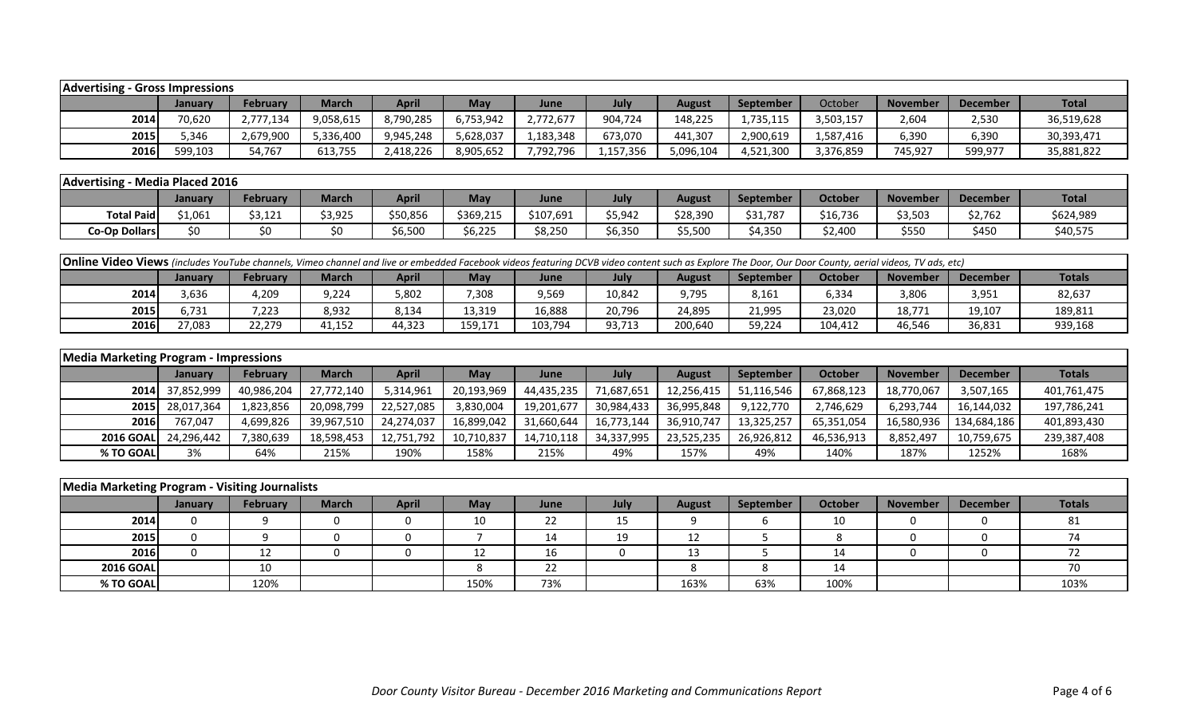| <b>Advertising - Gross Impressions</b> |                |                 |              |              |            |             |           |           |           |           |          |          |              |
|----------------------------------------|----------------|-----------------|--------------|--------------|------------|-------------|-----------|-----------|-----------|-----------|----------|----------|--------------|
|                                        | <b>January</b> | <b>February</b> | <b>March</b> | <b>April</b> | <b>May</b> | <b>June</b> | July      | August    | September | October   | November | December | <b>Total</b> |
| 2014                                   | 70,620         | 2,777,134       | 9,058,615    | 8,790,285    | 6,753,942  | 2,772,677   | 904,724   | 148,225   | 1,735,115 | 3,503,157 | 2,604    | 2,530    | 36,519,628   |
| 2015                                   | 5,346          | 2,679,900       | 5,336,400    | 9,945,248    | 5,628,037  | 1,183,348   | 673,070   | 441,307   | 2,900,619 | 1,587,416 | 6,390    | 6,390    | 30,393,471   |
| 2016                                   | 599.103        | 54,767          | 613,755      | 2,418,226    | 8,905,652  | 7,792,796   | 1,157,356 | 5,096,104 | 4,521,300 | 3,376,859 | 745,927  | 599,977  | 35,881,822   |

| Advertising       | - Media Placed 2016 |                 |              |                         |           |           |         |          |                  |                |                 |                 |              |
|-------------------|---------------------|-----------------|--------------|-------------------------|-----------|-----------|---------|----------|------------------|----------------|-----------------|-----------------|--------------|
|                   | Januarv             | <b>February</b> | <b>March</b> | <b>April</b>            | May       | June      | July    | August   | <b>September</b> | <b>October</b> | <b>November</b> | <b>December</b> | <b>Total</b> |
| <b>Total Paid</b> | \$1,061             | \$3,121         | \$3,925      | \$50,856                | \$369,215 | \$107,691 | \$5,942 | \$28,390 | \$31,787         | \$16,736       | \$3,503         | \$2,762         | \$624,989    |
| Co-Op Dollars     |                     |                 |              | <b>SA 500</b><br>,,,,,, | \$6,225   | \$8,250   | 6,350;  | 55,500   | 4,350            | \$2,400        | \$550           | \$450           | \$40,575     |

| <b>Online Video Views</b> (includes YouTube channels, Vimeo channel and live or embedded Facebook videos featuring DCVB video content such as Explore The Door, Our Door County, aerial videos, TV ads, etc) |         |          |              |        |            |             |        |               |                  |         |                 |                 |               |
|--------------------------------------------------------------------------------------------------------------------------------------------------------------------------------------------------------------|---------|----------|--------------|--------|------------|-------------|--------|---------------|------------------|---------|-----------------|-----------------|---------------|
|                                                                                                                                                                                                              | January | February | <b>March</b> | April  | <b>May</b> | <b>June</b> | July   | <b>August</b> | <b>September</b> | October | <b>November</b> | <b>December</b> | <b>Totals</b> |
| 2014                                                                                                                                                                                                         | 3.636   | 4,209    | 9,224        | 5,802  | .308       | 9,569       | 10,842 | 9,795         | 8,161            | 6,334   | 3,806           | 3,951           | 82,637        |
| 2015                                                                                                                                                                                                         | 6.731   | 7,223    | 8,932        | 8,134  | 13,319     | 16,888      | 20,796 | 24,895        | 21,995           | 23,020  | 18.771          | 19,107          | 189,811       |
| 2016                                                                                                                                                                                                         | 27,083  | 22,279   | 11,152       | 44,323 | 159,171    | 103,794     | 93,713 | 200,640       | 59,224           | 104,412 | 46,546          | 36,831          | 939,168       |

| Media Marketing Program - Impressions |                 |                 |            |              |            |            |            |               |            |            |                 |             |               |
|---------------------------------------|-----------------|-----------------|------------|--------------|------------|------------|------------|---------------|------------|------------|-----------------|-------------|---------------|
|                                       | <b>January</b>  | <b>February</b> | March      | <b>April</b> | Mav        | June       | July       | <b>August</b> | September  | October    | <b>November</b> | December    | <b>Totals</b> |
|                                       | 2014 37,852,999 | 40,986,204      | 27,772,140 | 5,314,961    | 20,193,969 | 44,435,235 | 71,687,651 | 12,256,415    | 51,116,546 | 67,868,123 | 18,770,067      | 3,507,165   | 401,761,475   |
|                                       | 2015 28,017,364 | 1,823,856       | 20,098,799 | 22,527,085   | 3,830,004  | 19,201,677 | 30,984,433 | 36,995,848    | 9,122,770  | 2,746,629  | 6,293,744       | 16,144,032  | 197,786,241   |
| 2016                                  | 767,047         | 4,699,826       | 39,967,510 | 24,274,037   | 16,899,042 | 31,660,644 | 16,773,144 | 36,910,747    | 13,325,257 | 65,351,054 | 16,580,936      | 134,684,186 | 401,893,430   |
| 2016 GOALL                            | 24,296,442      | 7,380,639       | 18,598,453 | 12,751,792   | 10,710,837 | 14,710,118 | 34,337,995 | 23,525,235    | 26,926,812 | 46,536,913 | 8,852,497       | 10,759,675  | 239,387,408   |
| % TO GOAL                             | 3%              | 64%             | 215%       | 190%         | 158%       | 215%       | 49%        | 157%          | 49%        | 140%       | 187%            | 1252%       | 168%          |

| Media Marketing Program - Visiting Journalists |         |          |              |              |            |      |      |               |           |                |                 |                 |               |
|------------------------------------------------|---------|----------|--------------|--------------|------------|------|------|---------------|-----------|----------------|-----------------|-----------------|---------------|
|                                                | January | February | <b>March</b> | <b>April</b> | <b>May</b> | June | July | <b>August</b> | September | <b>October</b> | <b>November</b> | <b>December</b> | <b>Totals</b> |
| 2014                                           |         |          |              |              | 10         | 22   | 15   |               |           | 10             |                 |                 |               |
| 2015                                           |         |          |              |              |            | 14   | 19   | 12            |           |                |                 |                 |               |
| 2016                                           |         | 12       |              |              |            | 16   |      | 12<br>ᅩJ      |           | 14             |                 |                 |               |
| <b>2016 GOAL</b>                               |         | 10       |              |              |            | 22   |      |               |           | 14             |                 |                 |               |
| % TO GOAL                                      |         | 120%     |              |              | 150%       | 73%  |      | 163%          | 63%       | 100%           |                 |                 | 103%          |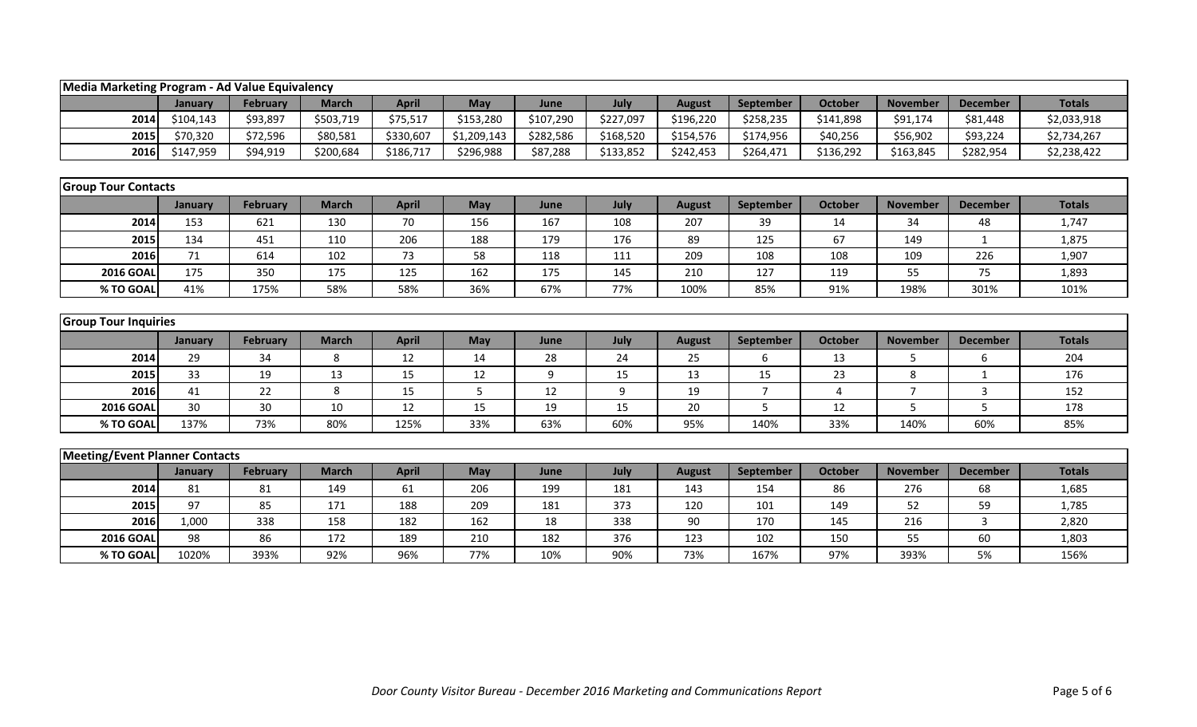|                                       | Media Marketing Program - Ad Value Equivalency |                 |              |              |             |           |           |               |                |                |                 |                 |               |  |
|---------------------------------------|------------------------------------------------|-----------------|--------------|--------------|-------------|-----------|-----------|---------------|----------------|----------------|-----------------|-----------------|---------------|--|
|                                       | January                                        | <b>February</b> | <b>March</b> | <b>April</b> | May         | June      | July      | <b>August</b> | September      | <b>October</b> | <b>November</b> | <b>December</b> | <b>Totals</b> |  |
| 2014                                  | \$104,143                                      | \$93,897        | \$503,719    | \$75,517     | \$153,280   | \$107,290 | \$227,097 | \$196,220     | \$258,235      | \$141,898      | \$91,174        | \$81,448        | \$2,033,918   |  |
| 2015                                  | \$70,320                                       | \$72,596        | \$80,581     | \$330,607    | \$1,209,143 | \$282,586 | \$168,520 | \$154,576     | \$174,956      | \$40,256       | \$56,902        | \$93,224        | \$2,734,267   |  |
| 2016                                  | \$147,959                                      | \$94,919        | \$200,684    | \$186,717    | \$296,988   | \$87,288  | \$133,852 | \$242,453     | \$264,471      | \$136,292      | \$163,845       | \$282,954       | \$2,238,422   |  |
|                                       |                                                |                 |              |              |             |           |           |               |                |                |                 |                 |               |  |
| <b>Group Tour Contacts</b>            |                                                |                 |              |              |             |           |           |               |                |                |                 |                 |               |  |
|                                       | January                                        | <b>February</b> | <b>March</b> | <b>April</b> | May         | June      | July      | <b>August</b> | September      | <b>October</b> | <b>November</b> | <b>December</b> | <b>Totals</b> |  |
| 2014                                  | 153                                            | 621             | 130          | 70           | 156         | 167       | 108       | 207           | 39             | 14             | 34              | 48              | 1,747         |  |
| 2015                                  | 134                                            | 451             | 110          | 206          | 188         | 179       | 176       | 89            | 125            | 67             | 149             | 1               | 1,875         |  |
| 2016                                  | 71                                             | 614             | 102          | 73           | 58          | 118       | 111       | 209           | 108            | 108            | 109             | 226             | 1,907         |  |
| <b>2016 GOAL</b>                      | 175                                            | 350             | 175          | 125          | 162         | 175       | 145       | 210           | 127            | 119            | 55              | 75              | 1,893         |  |
| % TO GOAL                             | 41%                                            | 175%            | 58%          | 58%          | 36%         | 67%       | 77%       | 100%          | 85%            | 91%            | 198%            | 301%            | 101%          |  |
|                                       |                                                |                 |              |              |             |           |           |               |                |                |                 |                 |               |  |
| <b>Group Tour Inquiries</b>           |                                                |                 |              |              |             |           |           |               |                |                |                 |                 |               |  |
|                                       | January                                        | <b>February</b> | <b>March</b> | <b>April</b> | May         | June      | July      | <b>August</b> | September      | <b>October</b> | <b>November</b> | <b>December</b> | <b>Totals</b> |  |
| 2014                                  | 29                                             | 34              | 8            | 12           | 14          | 28        | 24        | 25            | 6              | 13             | 5               | 6               | 204           |  |
| 2015                                  | 33                                             | 19              | 13           | 15           | 12          | 9         | 15        | 13            | 15             | 23             | 8               | 1               | 176           |  |
| 2016                                  | 41                                             | 22              | 8            | 15           | 5           | 12        | 9         | 19            | $\overline{7}$ | 4              | $\overline{7}$  | $\overline{3}$  | 152           |  |
| <b>2016 GOAL</b>                      | 30                                             | 30              | 10           | 12           | 15          | 19        | 15        | 20            | 5              | 12             | 5               | 5               | 178           |  |
| % TO GOAL                             | 137%                                           | 73%             | 80%          | 125%         | 33%         | 63%       | 60%       | 95%           | 140%           | 33%            | 140%            | 60%             | 85%           |  |
|                                       |                                                |                 |              |              |             |           |           |               |                |                |                 |                 |               |  |
| <b>Meeting/Event Planner Contacts</b> |                                                |                 |              |              |             |           |           |               |                |                |                 |                 |               |  |
|                                       | January                                        | <b>February</b> | <b>March</b> | <b>April</b> | May         | June      | July      | <b>August</b> | September      | <b>October</b> | <b>November</b> | <b>December</b> | <b>Totals</b> |  |
| 2014                                  | 81                                             | 81              | 149          | 61           | 206         | 199       | 181       | 143           | 154            | 86             | 276             | 68              | 1,685         |  |
| 2015                                  | 97                                             | 85              | 171          | 188          | 209         | 181       | 373       | 120           | 101            | 149            | 52              | 59              | 1,785         |  |
| 2016                                  | 1,000                                          | 338             | 158          | 182          | 162         | 18        | 338       | 90            | 170            | 145            | 216             | 3               | 2,820         |  |
| <b>2016 GOAL</b>                      | 98                                             | 86              | 172          | 189          | 210         | 182       | 376       | 123           | 102            | 150            | 55              | 60              | 1,803         |  |
| % TO GOAL                             | 1020%                                          | 393%            | 92%          | 96%          | 77%         | 10%       | 90%       | 73%           | 167%           | 97%            | 393%            | 5%              | 156%          |  |